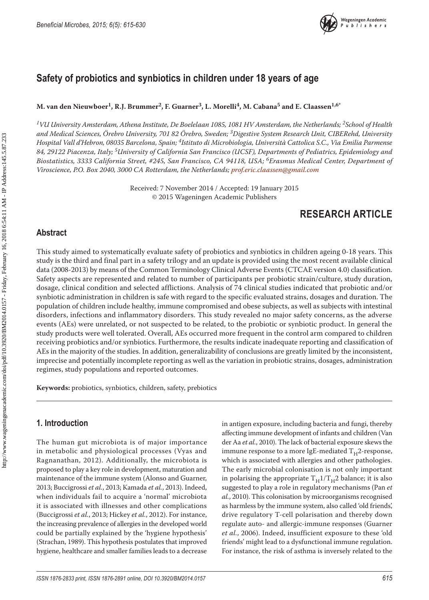

# **Safety of probiotics and synbiotics in children under 18 years of age**

**M. van den Nieuwboer1, R.J. Brummer2, F. Guarner3, L. Morelli4, M. Cabana5 and E. Claassen1,6\***

*1VU University Amsterdam, Athena Institute, De Boelelaan 1085, 1081 HV Amsterdam, the Netherlands; 2School of Health and Medical Sciences, Örebro University, 701 82 Örebro, Sweden; 3Digestive System Research Unit, CIBERehd, University Hospital Vall d'Hebron, 08035 Barcelona, Spain; 4Istituto di Microbiologia, Università Cattolica S.C., Via Emilia Parmense 84, 29122 Piacenza, Italy; 5University of California San Francisco (UCSF), Departments of Pediatrics, Epidemiology and Biostatistics, 3333 California Street, #245, San Francisco, CA 94118, USA; 6Erasmus Medical Center, Department of Viroscience, P.O. Box 2040, 3000 CA Rotterdam, the Netherlands; [prof.eric.claassen@gmail.com](mailto:prof.eric.claassen@gmail.com)*

> Received: 7 November 2014 / Accepted: 19 January 2015 © 2015 Wageningen Academic Publishers

# **RESEARCH ARTICLE**

### **Abstract**

This study aimed to systematically evaluate safety of probiotics and synbiotics in children ageing 0-18 years. This study is the third and final part in a safety trilogy and an update is provided using the most recent available clinical data (2008-2013) by means of the Common Terminology Clinical Adverse Events (CTCAE version 4.0) classification. Safety aspects are represented and related to number of participants per probiotic strain/culture, study duration, dosage, clinical condition and selected afflictions. Analysis of 74 clinical studies indicated that probiotic and/or synbiotic administration in children is safe with regard to the specific evaluated strains, dosages and duration. The population of children include healthy, immune compromised and obese subjects, as well as subjects with intestinal disorders, infections and inflammatory disorders. This study revealed no major safety concerns, as the adverse events (AEs) were unrelated, or not suspected to be related, to the probiotic or synbiotic product. In general the study products were well tolerated. Overall, AEs occurred more frequent in the control arm compared to children receiving probiotics and/or synbiotics. Furthermore, the results indicate inadequate reporting and classification of AEs in the majority of the studies. In addition, generalizability of conclusions are greatly limited by the inconsistent, imprecise and potentially incomplete reporting as well as the variation in probiotic strains, dosages, administration regimes, study populations and reported outcomes.

**Keywords:** probiotics, synbiotics, children, safety, prebiotics

### **1. Introduction**

The human gut microbiota is of major importance in metabolic and physiological processes (Vyas and Ragnanathan, 2012). Additionally, the microbiota is proposed to play a key role in development, maturation and maintenance of the immune system (Alonso and Guarner, 2013; Buccigrossi *et al.*, 2013; Kamada *et al.*, 2013). Indeed, when individuals fail to acquire a 'normal' microbiota it is associated with illnesses and other complications (Buccigrossi *et al.*, 2013; Hickey *et al.*, 2012). For instance, the increasing prevalence of allergies in the developed world could be partially explained by the 'hygiene hypothesis' (Strachan, 1989). This hypothesis postulates that improved hygiene, healthcare and smaller families leads to a decrease

in antigen exposure, including bacteria and fungi, thereby affecting immune development of infants and children (Van der Aa *et al.*, 2010). The lack of bacterial exposure skews the immune response to a more IgE-mediated  $T_H^2$ -response, which is associated with allergies and other pathologies. The early microbial colonisation is not only important in polarising the appropriate  $T_H1/T_H2$  balance; it is also suggested to play a role in regulatory mechanisms (Pan *et al.*, 2010). This colonisation by microorganisms recognised as harmless by the immune system, also called 'old friends', drive regulatory T-cell polarisation and thereby down regulate auto- and allergic-immune responses (Guarner *et al.*, 2006). Indeed, insufficient exposure to these 'old friends' might lead to a dysfunctional immune regulation. For instance, the risk of asthma is inversely related to the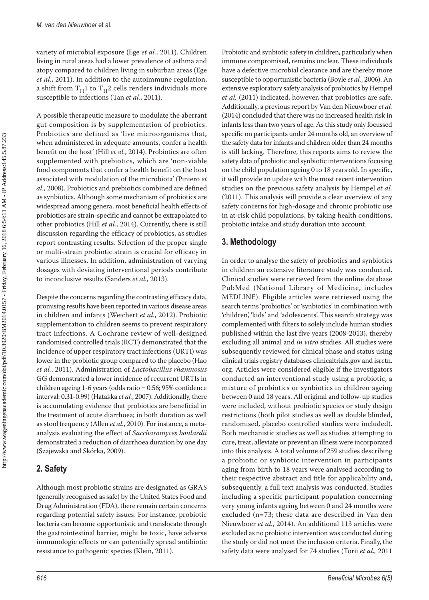variety of microbial exposure (Ege *et al.*, 2011). Children living in rural areas had a lower prevalence of asthma and atopy compared to children living in suburban areas (Ege *et al.*, 2011). In addition to the autoimmune regulation, a shift from  $T_H1$  to  $T_H2$  cells renders individuals more susceptible to infections (Tan *et al.*, 2011).

A possible therapeutic measure to modulate the aberrant gut composition is by supplementation of probiotics. Probiotics are defined as 'live microorganisms that, when administered in adequate amounts, confer a health benefit on the host' (Hill *et al.*, 2014). Probiotics are often supplemented with prebiotics, which are 'non-viable food components that confer a health benefit on the host associated with modulation of the microbiota' (Piniero *et al.*, 2008). Probiotics and prebiotics combined are defined as synbiotics. Although some mechanism of probiotics are widespread among genera, most beneficial health effects of probiotics are strain-specific and cannot be extrapolated to other probiotics (Hill *et al.*, 2014). Currently, there is still discussion regarding the efficacy of probiotics, as studies report contrasting results. Selection of the proper single or multi-strain probiotic strain is crucial for efficacy in various illnesses. In addition, administration of varying dosages with deviating interventional periods contribute to inconclusive results (Sanders *et al.*, 2013).

Despite the concerns regarding the contrasting efficacy data, promising results have been reported in various disease areas in children and infants (Weichert *et al.*, 2012). Probiotic supplementation to children seems to prevent respiratory tract infections. A Cochrane review of well-designed randomised controlled trials (RCT) demonstrated that the incidence of upper respiratory tract infections (URTI) was lower in the probiotic group compared to the placebo (Hao *et al.*, 2011). Administration of *Lactobacillus rhamnosus*  GG demonstrated a lower incidence of recurrent URTIs in children ageing 1-6 years (odds ratio = 0.56; 95% confidence interval: 0.31-0.99) (Hatakka *et al.*, 2007). Additionally, there is accumulating evidence that probiotics are beneficial in the treatment of acute diarrhoea; in both duration as well as stool frequency (Allen *et al.*, 2010). For instance, a metaanalysis evaluating the effect of *Saccharomyces boulardii*  demonstrated a reduction of diarrhoea duration by one day (Szajewska and Skórka, 2009).

## **2. Safety**

Although most probiotic strains are designated as GRAS (generally recognised as safe) by the United States Food and Drug Administration (FDA), there remain certain concerns regarding potential safety issues. For instance, probiotic bacteria can become opportunistic and translocate through the gastrointestinal barrier, might be toxic, have adverse immunologic effects or can potentially spread antibiotic resistance to pathogenic species (Klein, 2011).

Probiotic and synbiotic safety in children, particularly when immune compromised, remains unclear. These individuals have a defective microbial clearance and are thereby more susceptible to opportunistic bacteria (Boyle *et al.*, 2006). An extensive exploratory safety analysis of probiotics by Hempel et al. (2011) indicated, however, that probiotics are safe. Additionally, a previous report by Van den Nieuwboer *et al.*  (2014) concluded that there was no increased health risk in infants less than two years of age. As this study only focussed specific on participants under 24 months old, an overview of the safety data for infants and children older than 24 months is still lacking. Therefore, this reports aims to review the safety data of probiotic and synbiotic interventions focusing on the child population ageing 0 to 18 years old. In specific, it will provide an update with the most recent intervention studies on the previous safety analysis by Hempel *et al.* (2011). This analysis will provide a clear overview of any safety concerns for high-dosage and chronic probiotic use in at-risk child populations, by taking health conditions, probiotic intake and study duration into account.

## **3. Methodology**

In order to analyse the safety of probiotics and synbiotics in children an extensive literature study was conducted. Clinical studies were retrieved from the online database PubMed (National Library of Medicine, includes MEDLINE). Eligible articles were retrieved using the search terms 'probiotics' or 'synbiotics' in combination with 'children', 'kids' and 'adolescents'. This search strategy was complemented with filters to solely include human studies published within the last five years (2008-2013), thereby excluding all animal and *in vitro* studies. All studies were subsequently reviewed for clinical phase and status using clinical trials registry databases clinicaltrials.gov and isrctn. org. Articles were considered eligible if the investigators conducted an interventional study using a probiotic, a mixture of probiotics or synbiotics in children ageing between 0 and 18 years. All original and follow-up studies were included, without probiotic species or study design restrictions (both pilot studies as well as double blinded, randomised, placebo controlled studies were included). Both mechanistic studies as well as studies attempting to cure, treat, alleviate or prevent an illness were incorporated into this analysis. A total volume of 259 studies describing a probiotic or synbiotic intervention in participants aging from birth to 18 years were analysed according to their respective abstract and title for applicability and, subsequently, a full text analysis was conducted. Studies including a specific participant population concerning very young infants ageing between 0 and 24 months were excluded (n=73; these data are described in Van den Nieuwboer *et al.*, 2014). An additional 113 articles were excluded as no probiotic intervention was conducted during the study or did not meet the inclusion criteria. Finally, the safety data were analysed for 74 studies (Torii *et al.,* 2011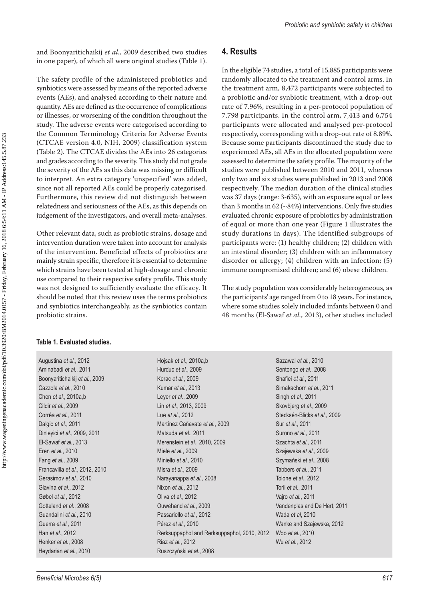and Boonyaritichaikij *et al.,* 2009 described two studies in one paper), of which all were original studies (Table 1).

The safety profile of the administered probiotics and synbiotics were assessed by means of the reported adverse events (AEs), and analysed according to their nature and quantity. AEs are defined as the occurrence of complications or illnesses, or worsening of the condition throughout the study. The adverse events were categorised according to the Common Terminology Criteria for Adverse Events (CTCAE version 4.0, NIH, 2009) classification system (Table 2). The CTCAE divides the AEs into 26 categories and grades according to the severity. This study did not grade the severity of the AEs as this data was missing or difficult to interpret. An extra category 'unspecified' was added, since not all reported AEs could be properly categorised. Furthermore, this review did not distinguish between relatedness and seriousness of the AEs, as this depends on judgement of the investigators, and overall meta-analyses.

Other relevant data, such as probiotic strains, dosage and intervention duration were taken into account for analysis of the intervention. Beneficial effects of probiotics are mainly strain specific, therefore it is essential to determine which strains have been tested at high-dosage and chronic use compared to their respective safety profile. This study was not designed to sufficiently evaluate the efficacy. It should be noted that this review uses the terms probiotics and synbiotics interchangeably, as the synbiotics contain probiotic strains.

## **4. Results**

In the eligible 74 studies, a total of 15,885 participants were randomly allocated to the treatment and control arms. In the treatment arm, 8,472 participants were subjected to a probiotic and/or synbiotic treatment, with a drop-out rate of 7.96%, resulting in a per-protocol population of 7.798 participants. In the control arm, 7,413 and 6,754 participants were allocated and analysed per-protocol respectively, corresponding with a drop-out rate of 8.89%. Because some participants discontinued the study due to experienced AEs, all AEs in the allocated population were assessed to determine the safety profile. The majority of the studies were published between 2010 and 2011, whereas only two and six studies were published in 2013 and 2008 respectively. The median duration of the clinical studies was 37 days (range: 3-635), with an exposure equal or less than 3 months in  $62$  ( $\sim$ 84%) interventions. Only five studies evaluated chronic exposure of probiotics by administration of equal or more than one year (Figure 1 illustrates the study durations in days). The identified subgroups of participants were: (1) healthy children; (2) children with an intestinal disorder; (3) children with an inflammatory disorder or allergy; (4) children with an infection; (5) immune compromised children; and (6) obese children.

The study population was considerably heterogeneous, as the participants' age ranged from 0 to 18 years. For instance, where some studies solely included infants between 0 and 48 months (El-Sawaf *et al.*, 2013), other studies included

#### **Table 1. Evaluated studies.**

| Hojsak et al., 2010a,b                      | Sazawal et al., 2010         |
|---------------------------------------------|------------------------------|
| Hurduc et al., 2009                         | Sentongo et al., 2008        |
| Kerac et al., 2009                          | Shafiei et al., 2011         |
| Kumar et al., 2013                          | Simakachorn et al., 2011     |
| Leyer et al., 2009                          | Singh et al., 2011           |
| Lin et al., 2013, 2009                      | Skovbjerg et al., 2009       |
| Lue et al., 2012                            | Stecksén-Blicks et al., 2009 |
| Martínez Cañavate et al., 2009              | Sur et al., 2011             |
| Matsuda et al., 2011                        | Surono et al., 2011          |
| Merenstein et al., 2010, 2009               | Szachta et al., 2011         |
| Miele et al., 2009                          | Szajewska et al., 2009       |
| Miniello et al., 2010                       | Szymański et al., 2008       |
| Misra et al., 2009                          | Tabbers et al., 2011         |
| Narayanappa et al., 2008                    | Tolone et al., 2012          |
| Nixon et al., 2012                          | Torii et al., 2011           |
| Oliva et al., 2012                          | Vairo et al., 2011           |
| Ouwehand et al., 2009                       | Vandenplas and De Hert, 2011 |
| Passariello et al., 2012                    | Wada et al, 2010             |
| Pérez et al., 2010                          | Wanke and Szajewska, 2012    |
| Rerksuppaphol and Rerksuppaphol, 2010, 2012 | Woo et al., 2010             |
| Riaz et al., 2012                           | Wu et al., 2012              |
| Ruszczyński et al., 2008                    |                              |
|                                             |                              |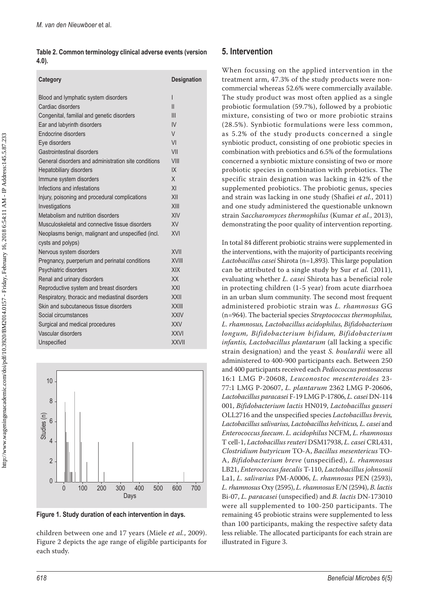**Table 2. Common terminology clinical adverse events (version 4.0).**

| Category                                             | Designation    |
|------------------------------------------------------|----------------|
| Blood and lymphatic system disorders                 | ı              |
| Cardiac disorders                                    | $\mathsf{II}$  |
| Congenital, familial and genetic disorders           | III            |
| Ear and labyrinth disorders                          | IV             |
| Endocrine disorders                                  | $\vee$         |
| Eye disorders                                        | VI             |
| Gastrointestinal disorders                           | VII            |
| General disorders and administration site conditions | VIII           |
| Hepatobiliary disorders                              | IX             |
| Immune system disorders                              | X              |
| Infections and infestations                          | X <sub>l</sub> |
| Injury, poisoning and procedural complications       | XII            |
| Investigations                                       | XIII           |
| Metabolism and nutrition disorders                   | XIV            |
| Musculoskeletal and connective tissue disorders      | <b>XV</b>      |
| Neoplasms benign, malignant and unspecified (incl.   | <b>XVI</b>     |
| cysts and polyps)                                    |                |
| Nervous system disorders                             | XVII           |
| Pregnancy, puerperium and perinatal conditions       | <b>XVIII</b>   |
| Psychiatric disorders                                | <b>XIX</b>     |
| Renal and urinary disorders                          | XX             |
| Reproductive system and breast disorders             | XXI            |
| Respiratory, thoracic and mediastinal disorders      | <b>XXII</b>    |
| Skin and subcutaneous tissue disorders               | <b>XXIII</b>   |
| Social circumstances                                 | <b>XXIV</b>    |
| Surgical and medical procedures                      | <b>XXV</b>     |
| Vascular disorders                                   | <b>XXVI</b>    |
| Unspecified                                          | <b>XXVII</b>   |



**Figure 1. Study duration of each intervention in days.**

children between one and 17 years (Miele *et al.*, 2009). Figure 2 depicts the age range of eligible participants for each study.

### **5. Intervention**

When focussing on the applied intervention in the treatment arm, 47.3% of the study products were noncommercial whereas 52.6% were commercially available. The study product was most often applied as a single probiotic formulation (59.7%), followed by a probiotic mixture, consisting of two or more probiotic strains (28.5%). Synbiotic formulations were less common, as 5.2% of the study products concerned a single synbiotic product, consisting of one probiotic species in combination with prebiotics and 6.5% of the formulations concerned a synbiotic mixture consisting of two or more probiotic species in combination with prebiotics. The specific strain designation was lacking in 42% of the supplemented probiotics. The probiotic genus, species and strain was lacking in one study (Shafiei *et al.*, 2011) and one study administered the questionable unknown strain *Saccharomyces thermophilus* (Kumar *et al.*, 2013), demonstrating the poor quality of intervention reporting.

In total 84 different probiotic strains were supplemented in the interventions, with the majority of participants receiving *Lactobacillus casei* Shirota (n=1,893). This large population can be attributed to a single study by Sur *et al.* (2011), evaluating whether *L. casei* Shirota has a beneficial role in protecting children (1-5 year) from acute diarrhoea in an urban slum community. The second most frequent administered probiotic strain was *L. rhamnosus* GG (n=964). The bacterial species *Streptococcus thermophilus, L. rhamnosus, Lactobacillus acidophilus, Bifidobacterium longum, Bifidobacterium bifidum, Bifidobacterium infantis, Lactobacillus plantarum* (all lacking a specific strain designation) and the yeast *S. boulardii* were all administered to 400-900 participants each. Between 250 and 400 participants received each *Pediococcus pentosaceus*  16:1 LMG P-20608, *Leuconostoc mesenteroides* 23- 77:1 LMG P-20607, *L. plantarum* 2362 LMG P-20606, *Lactobacillus paracasei* F-19 LMG P-17806, *L. casei* DN-114 001, *Bifidobacterium lactis* HN019, *Lactobacillus gasseri*  OLL2716 and the unspecified species *Lactobacillus brevis, Lactobacillus salivarius, Lactobacillus helviticus, L. casei* and *Enterococcus faecum*. *L. acidophilus* NCFM, *L. rhamnosus*  T cell-1, *Lactobacillus reuteri* DSM17938, *L. casei* CRL431, *Clostridium butyricum* TO-A, *Bacillus mesentericus* TO-A, *Bifidobacterium breve* (unspecified), *L. rhamnosus*  LB21, *Enterococcus faecalis* T-110, *Lactobacillus johnsonii*  La1, *L. salivarius* PM-A0006, *L. rhamnosus* PEN (2593), *L. rhamnosus* Oxy (2595), *L. rhamnosus* E/N (2594), *B. lactis*  Bi-07, *L. paracasei* (unspecified) and *B. lactis* DN-173010 were all supplemented to 100-250 participants. The remaining 45 probiotic strains were supplemented to less than 100 participants, making the respective safety data less reliable. The allocated participants for each strain are illustrated in Figure 3.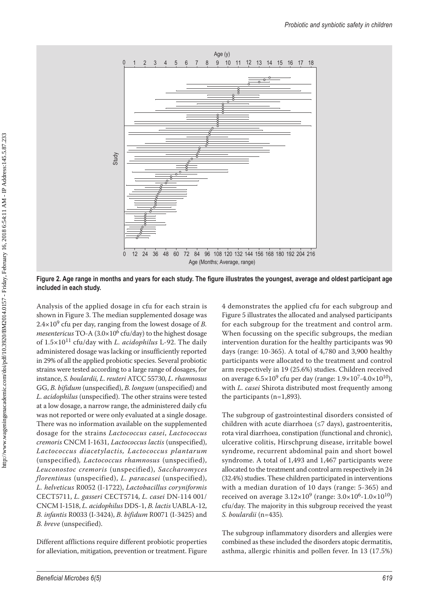

**Figure 2. Age range in months and years for each study. The figure illustrates the youngest, average and oldest participant age included in each study.**

Analysis of the applied dosage in cfu for each strain is shown in Figure 3. The median supplemented dosage was 2.4×109 cfu per day, ranging from the lowest dosage of *B. mesentericus* TO-A (3.0×106 cfu/day) to the highest dosage of 1.5×1011 cfu/day with *L. acidophilus* L-92. The daily administered dosage was lacking or insufficiently reported in 29% of all the applied probiotic species. Several probiotic strains were tested according to a large range of dosages, for instance, *S. boulardii, L. reuteri* ATCC 55730, *L. rhamnosus*  GG, *B. bifidum* (unspecified), *B. longum* (unspecified) and *L. acidophilus* (unspecified). The other strains were tested at a low dosage, a narrow range, the administered daily cfu was not reported or were only evaluated at a single dosage. There was no information available on the supplemented dosage for the strains *Lactococcus casei*, *Lactococcus cremoris* CNCM I-1631, *Lactococcus lactis* (unspecified), *Lactococcus diacetylactis, Lactococcus plantarum* (unspecified)*, Lactococcus rhamnosus* (unspecified), *Leuconostoc cremoris* (unspecified), *Saccharomyces florentinus* (unspecified), *L. paracasei* (unspecified), *L. helveticus* R0052 (I-1722), *Lactobacillus coryniformis* CECT5711, *L. gasseri* CECT5714, *L. casei* DN-114 001/ CNCM I-1518, *L. acidophilus* DDS-1, *B. lactis* UABLA-12, *B. infantis* R0033 (I-3424), *B. bifidum* R0071 (I-3425) and *B. breve* (unspecified).

Different afflictions require different probiotic properties for alleviation, mitigation, prevention or treatment. Figure

4 demonstrates the applied cfu for each subgroup and Figure 5 illustrates the allocated and analysed participants for each subgroup for the treatment and control arm. When focussing on the specific subgroups, the median intervention duration for the healthy participants was 90 days (range: 10-365). A total of 4,780 and 3,900 healthy participants were allocated to the treatment and control arm respectively in 19 (25.6%) studies. Children received on average  $6.5 \times 10^{9}$  cfu per day (range:  $1.9 \times 10^{7}$ -4.0 $\times 10^{10}$ ), with *L. casei* Shirota distributed most frequently among the participants (n*=*1,893).

The subgroup of gastrointestinal disorders consisted of children with acute diarrhoea (≤7 days), gastroenteritis, rota viral diarrhoea, constipation (functional and chronic), ulcerative colitis, Hirschprung disease, irritable bowel syndrome, recurrent abdominal pain and short bowel syndrome. A total of 1,493 and 1,467 participants were allocated to the treatment and control arm respectively in 24 (32.4%) studies. These children participated in interventions with a median duration of 10 days (range: 5-365) and received on average  $3.12 \times 10^{9}$  (range:  $3.0 \times 10^{6}$ - $1.0 \times 10^{10}$ ) cfu/day. The majority in this subgroup received the yeast *S. boulardii* (n=435)*.*

The subgroup inflammatory disorders and allergies were combined as these included the disorders atopic dermatitis, asthma, allergic rhinitis and pollen fever. In 13 (17.5%)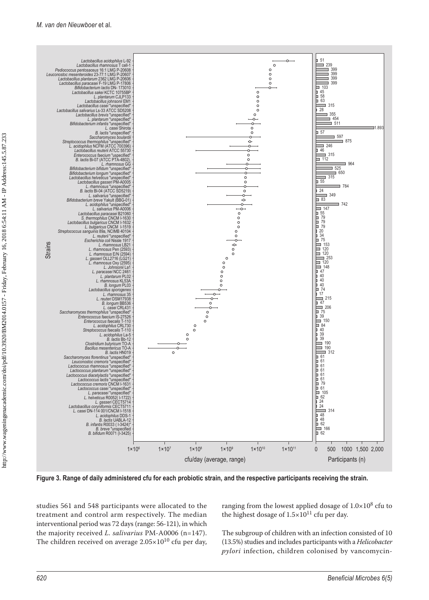

**Figure 3. Range of daily administered cfu for each probiotic strain, and the respective participants receiving the strain.**

studies 561 and 548 participants were allocated to the treatment and control arm respectively. The median interventional period was 72 days (range: 56-121), in which the majority received *L. salivarius* PM-A0006 (n=147). The children received on average  $2.05 \times 10^{10}$  cfu per day,

ranging from the lowest applied dosage of  $1.0\times10^8$  cfu to the highest dosage of  $1.5 \times 10^{11}$  cfu per day.

The subgroup of children with an infection consisted of 10 (13.5%) studies and includes participants with a *Helicobacter pylori* infection, children colonised by vancomycin-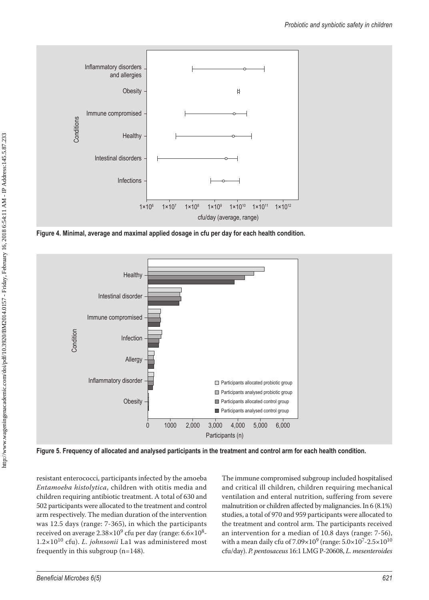

**Figure 4. Minimal, average and maximal applied dosage in cfu per day for each health condition.**



**Figure 5. Frequency of allocated and analysed participants in the treatment and control arm for each health condition.**

resistant enterococci, participants infected by the amoeba *Entamoeba histolytica*, children with otitis media and children requiring antibiotic treatment. A total of 630 and 502 participants were allocated to the treatment and control arm respectively. The median duration of the intervention was 12.5 days (range: 7-365), in which the participants received on average  $2.38\times10^9$  cfu per day (range:  $6.6\times10^8$ -1.2×1010 cfu). *L. johnsonii* La1 was administered most frequently in this subgroup (n*=*148).

The immune compromised subgroup included hospitalised and critical ill children, children requiring mechanical ventilation and enteral nutrition, suffering from severe malnutrition or children affected by malignancies. In 6 (8.1%) studies, a total of 970 and 959 participants were allocated to the treatment and control arm. The participants received an intervention for a median of 10.8 days (range: 7-56), with a mean daily cfu of  $7.09 \times 10^{9}$  (range:  $5.0 \times 10^{7}$ -2.5 $\times 10^{10}$ cfu/day). *P. pentosaceus* 16:1 LMG P-20608, *L. mesenteroides*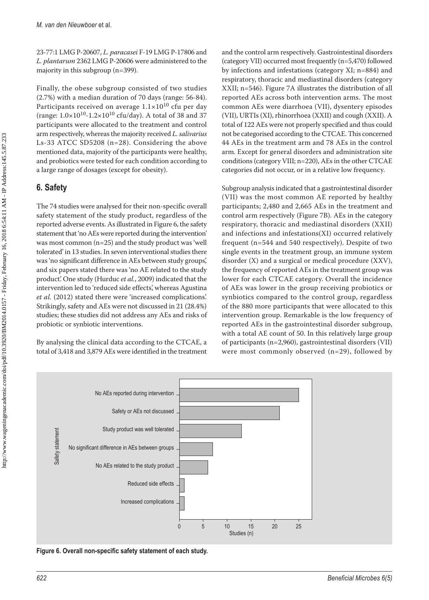23-77:1 LMG P-20607, *L. paracasei* F-19 LMG P-17806 and *L. plantarum* 2362 LMG P-20606 were administered to the majority in this subgroup (n*=*399).

Finally, the obese subgroup consisted of two studies (2.7%) with a median duration of 70 days (range: 56-84). Participants received on average  $1.1\times10^{10}$  cfu per day (range:  $1.0 \times 10^{10} - 1.2 \times 10^{10}$  cfu/day). A total of 38 and 37 participants were allocated to the treatment and control arm respectively, whereas the majority received *L. salivarius* Ls-33 ATCC SD5208 (n*=*28). Considering the above mentioned data, majority of the participants were healthy, and probiotics were tested for each condition according to a large range of dosages (except for obesity).

## **6. Safety**

The 74 studies were analysed for their non-specific overall safety statement of the study product, regardless of the reported adverse events. As illustrated in Figure 6, the safety statement that 'no AEs were reported during the intervention' was most common (n*=*25) and the study product was 'well tolerated' in 13 studies. In seven interventional studies there was 'no significant difference in AEs between study groups', and six papers stated there was 'no AE related to the study product'. One study (Hurduc *et al.*, 2009) indicated that the intervention led to 'reduced side effects', whereas Agustina *et al.* (2012) stated there were 'increased complications'. Strikingly, safety and AEs were not discussed in 21 (28.4%) studies; these studies did not address any AEs and risks of probiotic or synbiotic interventions.

By analysing the clinical data according to the CTCAE, a total of 3,418 and 3,879 AEs were identified in the treatment and the control arm respectively. Gastrointestinal disorders (category VII) occurred most frequently (n=5,470) followed by infections and infestations (category XI; n=884) and respiratory, thoracic and mediastinal disorders (category XXII; n=546). Figure 7A illustrates the distribution of all reported AEs across both intervention arms. The most common AEs were diarrhoea (VII), dysentery episodes (VII), URTIs (XI), rhinorrhoea (XXII) and cough (XXII). A total of 122 AEs were not properly specified and thus could not be categorised according to the CTCAE. This concerned 44 AEs in the treatment arm and 78 AEs in the control arm. Except for general disorders and administration site conditions (category VIII; n=220), AEs in the other CTCAE categories did not occur, or in a relative low frequency.

Subgroup analysis indicated that a gastrointestinal disorder (VII) was the most common AE reported by healthy participants; 2,480 and 2,665 AEs in the treatment and control arm respectively (Figure 7B). AEs in the category respiratory, thoracic and mediastinal disorders (XXII) and infections and infestations(XI) occurred relatively frequent (n*=*544 and 540 respectively). Despite of two single events in the treatment group, an immune system disorder (X) and a surgical or medical procedure (XXV), the frequency of reported AEs in the treatment group was lower for each CTCAE category. Overall the incidence of AEs was lower in the group receiving probiotics or synbiotics compared to the control group, regardless of the 880 more participants that were allocated to this intervention group. Remarkable is the low frequency of reported AEs in the gastrointestinal disorder subgroup, with a total AE count of 50. In this relatively large group of participants (n=2,960), gastrointestinal disorders (VII) were most commonly observed (n=29), followed by



**Figure 6. Overall non-specific safety statement of each study.**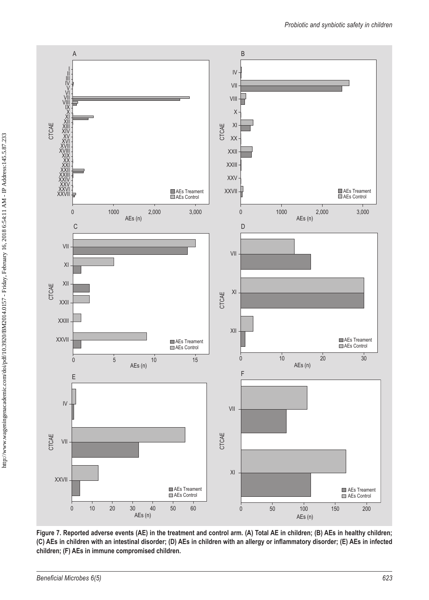

**Figure 7. Reported adverse events (AE) in the treatment and control arm. (A) Total AE in children; (B) AEs in healthy children; (C) AEs in children with an intestinal disorder; (D) AEs in children with an allergy or inflammatory disorder; (E) AEs in infected children; (F) AEs in immune compromised children.**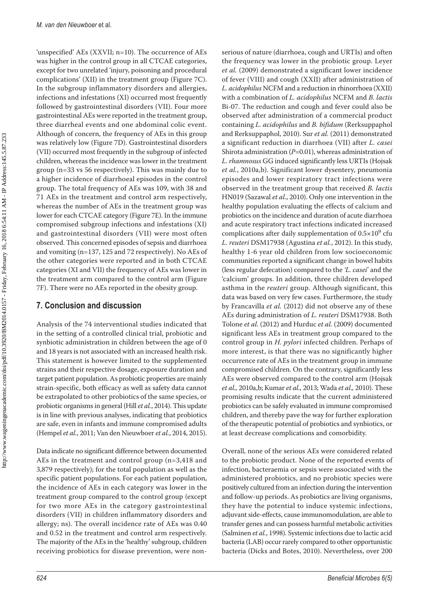'unspecified' AEs (XXVII; n=10). The occurrence of AEs was higher in the control group in all CTCAE categories, except for two unrelated 'injury, poisoning and procedural complications' (XII) in the treatment group (Figure 7C). In the subgroup inflammatory disorders and allergies, infections and infestations (XI) occurred most frequently followed by gastrointestinal disorders (VII). Four more gastrointestinal AEs were reported in the treatment group, three diarrheal events and one abdominal colic event. Although of concern, the frequency of AEs in this group was relatively low (Figure 7D). Gastrointestinal disorders (VII) occurred most frequently in the subgroup of infected children, whereas the incidence was lower in the treatment group (n=33 vs 56 respectively). This was mainly due to a higher incidence of diarrhoeal episodes in the control group. The total frequency of AEs was 109, with 38 and 71 AEs in the treatment and control arm respectively, whereas the number of AEs in the treatment group was lower for each CTCAE category (Figure 7E). In the immune compromised subgroup infections and infestations (XI) and gastrointestinal disorders (VII) were most often observed. This concerned episodes of sepsis and diarrhoea and vomiting (n=137, 125 and 72 respectively). No AEs of the other categories were reported and in both CTCAE categories (XI and VII) the frequency of AEs was lower in the treatment arm compared to the control arm (Figure 7F). There were no AEs reported in the obesity group.

### **7. Conclusion and discussion**

Analysis of the 74 interventional studies indicated that in the setting of a controlled clinical trial, probiotic and synbiotic administration in children between the age of 0 and 18 years is not associated with an increased health risk. This statement is however limited to the supplemented strains and their respective dosage, exposure duration and target patient population. As probiotic properties are mainly strain-specific, both efficacy as well as safety data cannot be extrapolated to other probiotics of the same species, or probiotic organisms in general (Hill *et al.*, 2014). This update is in line with previous analyses, indicating that probiotics are safe, even in infants and immune compromised adults (Hempel *et al.*, 2011; Van den Nieuwboer *et al.*, 2014, 2015).

Data indicate no significant difference between documented AEs in the treatment and control group (n=3,418 and 3,879 respectively); for the total population as well as the specific patient populations. For each patient population, the incidence of AEs in each category was lower in the treatment group compared to the control group (except for two more AEs in the category gastrointestinal disorders (VII) in children inflammatory disorders and allergy; ns). The overall incidence rate of AEs was 0.40 and 0.52 in the treatment and control arm respectively. The majority of the AEs in the 'healthy' subgroup, children receiving probiotics for disease prevention, were nonserious of nature (diarrhoea, cough and URTIs) and often the frequency was lower in the probiotic group. Leyer *et al.* (2009) demonstrated a significant lower incidence of fever (VIII) and cough (XXII) after administration of *L. acidophilus* NCFM and a reduction in rhinorrhoea (XXII) with a combination of *L. acidophilus* NCFM and *B. lactis*  Bi-07. The reduction and cough and fever could also be observed after administration of a commercial product containing *L. acidophilus* and *B. bifidum* (Rerksuppaphol and Rerksuppaphol, 2010). Sur *et al.* (2011) demonstrated a significant reduction in diarrhoea (VII) after *L. casei*  Shirota administration (*P=*0.01), whereas administration of *L. rhamnosus* GG induced significantly less URTIs (Hojsak *et al.*, 2010a,b). Significant lower dysentery, pneumonia episodes and lower respiratory tract infections were observed in the treatment group that received *B. lactis*  HN019 (Sazawal *et al.*, 2010). Only one intervention in the healthy population evaluating the effects of calcium and probiotics on the incidence and duration of acute diarrhoea and acute respiratory tract infections indicated increased complications after daily supplementation of  $0.5 \times 10^9$  cfu *L. reuteri* DSM17938 (Agustina *et al.*, 2012). In this study, healthy 1-6 year old children from low socioeconomic communities reported a significant change in bowel habits (less regular defecation) compared to the *'L. casei*' and the 'calcium' groups. In addition, three children developed asthma in the *reuteri* group. Although significant, this data was based on very few cases. Furthermore, the study by Francavilla *et al.* (2012) did not observe any of these AEs during administration of *L. reuteri* DSM17938. Both Tolone *et al.* (2012) and Hurduc *et al.* (2009) documented significant less AEs in treatment group compared to the control group in *H. pylori* infected children. Perhaps of more interest, is that there was no significantly higher occurrence rate of AEs in the treatment group in immune compromised children. On the contrary, significantly less AEs were observed compared to the control arm (Hojsak *et al.,* 2010a,b; Kumar *et al.,* 2013; Wada *et al.,* 2010). These promising results indicate that the current administered probiotics can be safely evaluated in immune compromised children, and thereby pave the way for further exploration of the therapeutic potential of probiotics and synbiotics, or at least decrease complications and comorbidity.

Overall, none of the serious AEs were considered related to the probiotic product. None of the reported events of infection, bacteraemia or sepsis were associated with the administered probiotics, and no probiotic species were positively cultured from an infection during the intervention and follow-up periods. As probiotics are living organisms, they have the potential to induce systemic infections, adjuvant side-effects, cause immunomodulation, are able to transfer genes and can possess harmful metabolic activities (Salminen *et al.*, 1998). Systemic infections due to lactic acid bacteria (LAB) occur rarely compared to other opportunistic bacteria (Dicks and Botes, 2010). Nevertheless, over 200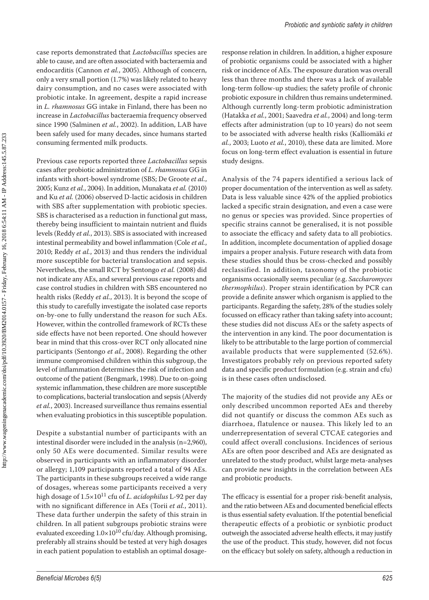case reports demonstrated that *Lactobacillus* species are able to cause, and are often associated with bacteraemia and endocarditis (Cannon *et al.*, 2005). Although of concern, only a very small portion (1.7%) was likely related to heavy dairy consumption, and no cases were associated with probiotic intake. In agreement, despite a rapid increase in *L. rhamnosus* GG intake in Finland, there has been no increase in *Lactobacillus* bacteraemia frequency observed since 1990 (Salminen *et al.*, 2002). In addition, LAB have been safely used for many decades, since humans started consuming fermented milk products.

Previous case reports reported three *Lactobacillus* sepsis cases after probiotic administration of *L. rhamnosus* GG in infants with short-bowel syndrome (SBS; De Groote *et al.*, 2005; Kunz *et al.*, 2004). In addition, Munakata *et al.* (2010) and Ku *et al.* (2006) observed D-lactic acidosis in children with SBS after supplementation with probiotic species. SBS is characterised as a reduction in functional gut mass, thereby being insufficient to maintain nutrient and fluids levels (Reddy *et al.*, 2013). SBS is associated with increased intestinal permeability and bowel inflammation (Cole *et al.*, 2010; Reddy *et al.*, 2013) and thus renders the individual more susceptible for bacterial translocation and sepsis. Nevertheless, the small RCT by Sentongo *et al.* (2008) did not indicate any AEs, and several previous case reports and case control studies in children with SBS encountered no health risks (Reddy *et al.*, 2013). It is beyond the scope of this study to carefully investigate the isolated case reports on-by-one to fully understand the reason for such AEs. However, within the controlled framework of RCTs these side effects have not been reported. One should however bear in mind that this cross-over RCT only allocated nine participants (Sentongo *et al.*, 2008). Regarding the other immune compromised children within this subgroup, the level of inflammation determines the risk of infection and outcome of the patient (Bengmark, 1998). Due to on-going systemic inflammation, these children are more susceptible to complications, bacterial translocation and sepsis (Alverdy *et al.*, 2003). Increased surveillance thus remains essential when evaluating probiotics in this susceptible population.

Despite a substantial number of participants with an intestinal disorder were included in the analysis (n*=*2,960), only 50 AEs were documented. Similar results were observed in participants with an inflammatory disorder or allergy; 1,109 participants reported a total of 94 AEs. The participants in these subgroups received a wide range of dosages, whereas some participants received a very high dosage of 1.5×1011 cfu of *L. acidophilus* L-92 per day with no significant difference in AEs (Torii *et al.*, 2011). These data further underpin the safety of this strain in children. In all patient subgroups probiotic strains were evaluated exceeding  $1.0\times10^{10}$  cfu/day. Although promising, preferably all strains should be tested at very high dosages in each patient population to establish an optimal dosageresponse relation in children. In addition, a higher exposure of probiotic organisms could be associated with a higher risk or incidence of AEs. The exposure duration was overall less than three months and there was a lack of available long-term follow-up studies; the safety profile of chronic probiotic exposure in children thus remains undetermined. Although currently long-term probiotic administration (Hatakka *et al.*, 2001; Saavedra *et al.*, 2004) and long-term effects after administration (up to 10 years) do not seem to be associated with adverse health risks (Kalliomäki *et al.*, 2003; Luoto *et al.*, 2010), these data are limited. More focus on long-term effect evaluation is essential in future study designs.

Analysis of the 74 papers identified a serious lack of proper documentation of the intervention as well as safety. Data is less valuable since 42% of the applied probiotics lacked a specific strain designation, and even a case were no genus or species was provided. Since properties of specific strains cannot be generalised, it is not possible to associate the efficacy and safety data to all probiotics. In addition, incomplete documentation of applied dosage impairs a proper analysis. Future research with data from these studies should thus be cross-checked and possibly reclassified. In addition, taxonomy of the probiotic organisms occasionally seems peculiar (e.g. *Saccharomyces thermophilus*). Proper strain identification by PCR can provide a definite answer which organism is applied to the participants. Regarding the safety, 28% of the studies solely focussed on efficacy rather than taking safety into account; these studies did not discuss AEs or the safety aspects of the intervention in any kind. The poor documentation is likely to be attributable to the large portion of commercial available products that were supplemented (52.6%). Investigators probably rely on previous reported safety data and specific product formulation (e.g. strain and cfu) is in these cases often undisclosed.

The majority of the studies did not provide any AEs or only described uncommon reported AEs and thereby did not quantify or discuss the common AEs such as diarrhoea, flatulence or nausea. This likely led to an underrepresentation of several CTCAE categories and could affect overall conclusions. Incidences of serious AEs are often poor described and AEs are designated as unrelated to the study product, whilst large meta-analyses can provide new insights in the correlation between AEs and probiotic products.

The efficacy is essential for a proper risk-benefit analysis, and the ratio between AEs and documented beneficial effects is thus essential safety evaluation. If the potential beneficial therapeutic effects of a probiotic or synbiotic product outweigh the associated adverse health effects, it may justify the use of the product. This study, however, did not focus on the efficacy but solely on safety, although a reduction in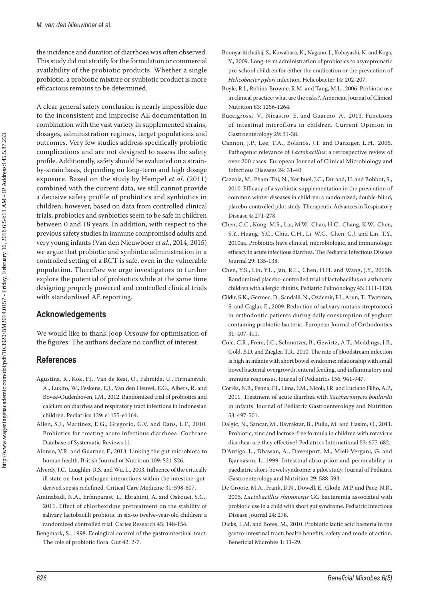the incidence and duration of diarrhoea was often observed. This study did not stratify for the formulation or commercial availability of the probiotic products. Whether a single probiotic, a probiotic mixture or synbiotic product is more efficacious remains to be determined.

A clear general safety conclusion is nearly impossible due to the inconsistent and imprecise AE documentation in combination with the vast variety in supplemented strains, dosages, administration regimes, target populations and outcomes. Very few studies address specifically probiotic complications and are not designed to assess the safety profile. Additionally, safety should be evaluated on a strainby-strain basis, depending on long-term and high dosage exposure. Based on the study by Hempel *et al.* (2011) combined with the current data, we still cannot provide a decisive safety profile of probiotics and synbiotics in children, however, based on data from controlled clinical trials, probiotics and synbiotics seem to be safe in children between 0 and 18 years. In addition, with respect to the previous safety studies in immune compromised adults and very young infants (Van den Nieuwboer *et al.*, 2014, 2015) we argue that probiotic and synbiotic administration in a controlled setting of a RCT is safe, even in the vulnerable population. Therefore we urge investigators to further explore the potential of probiotics while at the same time designing properly powered and controlled clinical trials with standardised AE reporting.

### **Acknowledgements**

We would like to thank Joop Orsouw for optimisation of the figures. The authors declare no conflict of interest.

## **References**

- Agustina, R., Kok, F.J., Van de Rest, O., Fahmida, U., Firmansyah, A., Lukito, W., Feskens, E.J., Van den Heuvel, E.G., Albers, R. and Bovee-Oudenhoven, I.M., 2012. Randomized trial of probiotics and calcium on diarrhea and respiratory tract infections in Indonesian children. Pediatrics 129: e1155-e1164.
- Allen, S.J., Martinez, E.G., Gregorio, G.V. and Dans, L.F., 2010. Probiotics for treating acute infectious diarrhoea. Cochrane Database of Systematic Reviews 11.
- Alonso, V.R. and Guarner, F., 2013. Linking the gut microbiota to human health. British Journal of Nutrition 109: S21-S26.
- Alverdy, J.C., Laughlin, R.S. and Wu, L., 2003. Influence of the critically ill state on host-pathogen interactions within the intestine: gutderived sepsis redefined. Critical Care Medicine 31: 598-607.
- Aminabadi, N.A., Erfanparast, L., Ebrahimi, A. and Oskouei, S.G., 2011. Effect of chlorhexidine pretreatment on the stability of salivary lactobacilli probiotic in six-to twelve-year-old children: a randomized controlled trial. Caries Research 45: 148-154.
- Bengmark, S., 1998. Ecological control of the gastrointestinal tract. The role of probiotic flora. Gut 42: 2-7.
- Boonyaritichaikij, S., Kuwabara, K., Nagano, J., Kobayashi, K. and Koga, Y., 2009. Long-term administration of probiotics to asymptomatic pre-school children for either the eradication or the prevention of *Helicobacter pylori* infection. Helicobacter 14: 202-207.
- Boyle, R.J., Robins-Browne, R.M. and Tang, M.L., 2006. Probiotic use in clinical practice: what are the risks?. American Journal of Clinical Nutrition 83: 1256-1264.
- Buccigrossi, V., Nicastro, E. and Guarino, A., 2013. Functions of intestinal microflora in children. Current Opinion in Gastroenterology 29: 31-38.
- Cannon, J.P., Lee, T.A., Bolanos, J.T. and Danziger, L.H., 2005. Pathogenic relevance of *Lactobacillus*: a retrospective review of over 200 cases. European Journal of Clinical Microbiology and Infectious Diseases 24: 31-40.
- Cazzola, M., Pham-Thi, N., Kerihuel, J.C., Durand, H. and Bohbot, S., 2010. Efficacy of a synbiotic supplementation in the prevention of common winter diseases in children: a randomized, double-blind, placebo-controlled pilot study. Therapeutic Advances in Respiratory Disease 4: 271-278.
- Chen, C.C., Kong, M.S., Lai, M.W., Chao, H.C., Chang, K.W., Chen, S.Y., Huang, Y.C., Chiu, C.H., Li, W.C., Chen, C.J. and Lin, T.Y., 2010aa. Probiotics have clinical, microbiologic, and immunologic efficacy in acute infectious diarrhea. The Pediatric Infectious Disease Journal 29: 135-138.
- Chen, Y.S., Lin, Y.L., Jan, R.L., Chen, H.H. and Wang, J.Y., 2010b. Randomized placebo-controlled trial of lactobacillus on asthmatic children with allergic rhinitis. Pediatric Pulmonology 45: 1111-1120.
- Cildir, S.K., Germec, D., Sandalli, N., Ozdemir, F.I., Arun, T., Twetman, S. and Caglar, E., 2009. Reduction of salivary mutans streptococci in orthodontic patients during daily consumption of yoghurt containing probiotic bacteria. European Journal of Orthodontics 31: 407-411.
- Cole, C.R., Frem, J.C., Schmotzer, B., Gewirtz, A.T., Meddings, J.B., Gold, B.D. and Ziegler, T.R., 2010. The rate of bloodstream infection is high in infants with short bowel syndrome: relationship with small bowel bacterial overgrowth, enteral feeding, and inflammatory and immune responses. Journal of Pediatrics 156: 941-947.
- Corrêa, N.B., Penna, F.J., Lima, F.M., Nicoli, J.R. and Luciano Filho, A.P., 2011. Treatment of acute diarrhea with *Saccharomyces boulardii* in infants. Journal of Pediatric Gastroenterology and Nutrition 53: 497-501.
- Dalgic, N., Sancar, M., Bayraktar, B., Pullu, M. and Hasim, O., 2011. Probiotic, zinc and lactose-free formula in children with rotavirus diarrhea: are they effective? Pediatrics International 53: 677-682.
- D'Antiga, L., Dhawan, A., Davenport, M., Mieli-Vergani, G. and Bjarnason, I., 1999. Intestinal absorption and permeability in paediatric short-bowel syndrome: a pilot study. Journal of Pediatric Gastroenterology and Nutrition 29: 588-593.
- De Groote, M.A., Frank, D.N., Dowell, E., Glode, M.P. and Pace, N.R., 2005. *Lactobacillus rhamnosus* GG bacteremia associated with probiotic use in a child with short gut syndrome. Pediatric Infectious Disease Journal 24: 278.
- Dicks, L.M. and Botes, M., 2010. Probiotic lactic acid bacteria in the gastro-intestinal tract: health benefits, safety and mode of action. Beneficial Microbes 1: 11-29.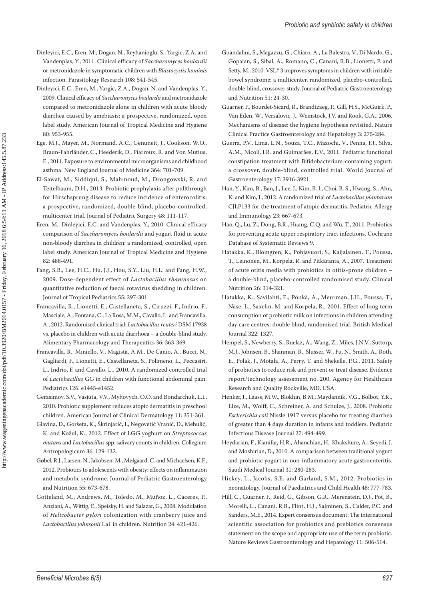- Dinleyici, E.C., Eren, M., Dogan, N., Reyhanioglu, S., Yargic, Z.A. and Vandenplas, Y., 2011. Clinical efficacy of *Saccharomyces boulardii* or metronidazole in symptomatic children with *Blastocystis hominis* infection. Parasitology Research 108: 541-545.
- Dinleyici, E.C., Eren, M., Yargic, Z.A., Dogan, N. and Vandenplas, Y., 2009. Clinical efficacy of *Saccharomyces boulardii* and metronidazole compared to metronidazole alone in children with acute bloody diarrhea caused by amebiasis: a prospective, randomized, open label study. American Journal of Tropical Medicine and Hygiene 80: 953-955.
- Ege, M.J., Mayer, M., Normand, A.C., Genuneit, J., Cookson, W.O., Braun-Fahrländer, C., Heederik, D., Piarroux, R. and Von Mutius, E., 2011. Exposure to environmental microorganisms and childhood asthma. New England Journal of Medicine 364: 701-709.
- El-Sawaf, M., Siddiqui, S., Mahmoud, M., Drongowski, R. and Teitelbaum, D.H., 2013. Probiotic prophylaxis after pullthrough for Hirschsprung disease to reduce incidence of enterocolitis: a prospective, randomized, double-blind, placebo-controlled, multicenter trial. Journal of Pediatric Surgery 48: 111-117.
- Eren, M., Dinleyici, E.C. and Vandenplas, Y., 2010. Clinical efficacy comparison of *Saccharomyces boulardii* and yogurt fluid in acute non-bloody diarrhea in children: a randomized, controlled, open label study. American Journal of Tropical Medicine and Hygiene 82: 488-491.
- Fang, S.B., Lee, H.C., Hu, J.J., Hou, S.Y., Liu, H.L. and Fang, H.W., 2009. Dose-dependent effect of *Lactobacillus rhamnosus* on quantitative reduction of faecal rotavirus shedding in children. Journal of Tropical Pediatrics 55: 297-301.
- Francavilla, R., Lionetti, E., Castellaneta, S., Ciruzzi, F., Indrio, F., Masciale, A., Fontana, C., La Rosa, M.M., Cavallo, L. and Francavilla, A., 2012. Randomised clinical trial: *Lactobacillus reuteri* DSM 17938 vs. placebo in children with acute diarrhoea – a double-blind study. Alimentary Pharmacology and Therapeutics 36: 363-369.
- Francavilla, R., Miniello, V., Magistà, A.M., De Canio, A., Bucci, N., Gagliardi, F., Lionetti, E., Castellaneta, S., Polimeno, L., Peccasiri, L., Indrio, F. and Cavallo, L., 2010. A randomized controlled trial of *Lactobacillus* GG in children with functional abdominal pain. Pediatrics 126: e1445-e1452.
- Gerasimov, S.V., Vasjuta, V.V., Myhovych, O.O. and Bondarchuk, L.I., 2010. Probiotic supplement reduces atopic dermatitis in preschool children. American Journal of Clinical Dermatology 11: 351-361.
- Glavina, D., Goršeta, K., Škrinjarić, I., Negovetić Vranić, D., Mehulić, K. and Kožul, K., 2012. Effect of LGG yoghurt on *Streptococcus mutans* and *Lactobacillus* spp. salivary counts in children. Collegium Antropologicum 36: 129-132.
- Gøbel, R.J., Larsen, N., Jakobsen, M., Mølgaard, C. and Michaelsen, K.F., 2012. Probiotics to adolescents with obesity: effects on inflammation and metabolic syndrome. Journal of Pediatric Gastroenterology and Nutrition 55: 673-678.
- Gotteland, M., Andrews, M., Toledo, M., Muñoz, L., Caceres, P., Anziani, A., Wittig, E., Speisky, H. and Salazar, G., 2008. Modulation of *Helicobacter pylori* colonization with cranberry juice and *Lactobacillus johnsonii* La1 in children. Nutrition 24: 421-426.
- Guandalini, S., Magazzu, G., Chiaro, A., La Balestra, V., Di Nardo, G., Gopalan, S., Sibal, A., Romano, C., Canani, R.B., Lionetti, P. and Setty, M., 2010. VSL# 3 improves symptoms in children with irritable bowel syndrome: a multicenter, randomized, placebo-controlled, double-blind, crossover study. Journal of Pediatric Gastroenterology and Nutrition 51: 24-30.
- Guarner, F., Bourdet-Sicard, R., Brandtzaeg, P., Gill, H.S., McGuirk, P., Van Eden, W., Versalovic, J., Weinstock, J.V. and Rook, G.A., 2006. Mechanisms of disease: the hygiene hypothesis revisited. Nature Clinical Practice Gastroenterology and Hepatology 3: 275-284.
- Guerra, P.V., Lima, L.N., Souza, T.C., Mazochi, V., Penna, F.J., Silva, A.M., Nicoli, J.R. and Guimarães, E.V., 2011. Pediatric functional constipation treatment with Bifidobacterium-containing yogurt: a crossover, double-blind, controlled trial. World Journal of Gastroenterology 17: 3916-3921.
- Han, Y., Kim, B., Ban, J., Lee, J., Kim, B. J., Choi, B. S., Hwang, S., Ahn, K. and Kim, J., 2012. A randomized trial of *Lactobacillus plantarum* CJLP133 for the treatment of atopic dermatitis. Pediatric Allergy and Immunology 23: 667-673.
- Hao, Q., Lu, Z., Dong, B.R., Huang, C.Q. and Wu, T., 2011. Probiotics for preventing acute upper respiratory tract infections. Cochrane Database of Systematic Reviews 9.
- Hatakka, K., Blomgren, K., Pohjavuori, S., Kaijalainen, T., Poussa, T., Leinonen, M., Korpela, R. and Pitkäranta, A., 2007. Treatment of acute otitis media with probiotics in otitis-prone children – a double-blind, placebo-controlled randomised study. Clinical Nutrition 26: 314-321.
- Hatakka, K., Savilahti, E., Pönkä, A., Meurman, J.H., Poussa, T., Näse, L., Saxelin, M. and Korpela, R., 2001. Effect of long term consumption of probiotic milk on infections in children attending day care centres: double blind, randomised trial. British Medical Journal 322: 1327.
- Hempel, S., Newberry, S., Ruelaz, A., Wang, Z., Miles, J.N.V., Suttorp, M.J., Johnsen, B., Shanman, R., Slusser, W., Fu, N., Smith, A., Roth, E., Polak, J., Motala, A., Perry, T. and Shekelle, P.G., 2011. Safety of probiotics to reduce risk and prevent or treat disease. Evidence report/technology assessment no. 200. Agency for Healthcare Research and Quality Rockville, MD, USA.
- Henker, J., Laass, M.W., Blokhin, B.M., Maydannik, V.G., Bolbot, Y.K., Elze, M., Wolff, C., Schreiner, A. and Schulze, J., 2008. Probiotic *Escherichia coli* Nissle 1917 versus placebo for treating diarrhea of greater than 4 days duration in infants and toddlers. Pediatric Infectious Disease Journal 27: 494-499.
- Heydarian, F., Kianifar, H.R., Ahanchian, H., Khakshure, A., Seyedi, J. and Moshirian, D., 2010. A comparison between traditional yogurt and probiotic yogurt in non-inflammatory acute gastroenteritis. Saudi Medical Journal 31: 280-283.
- Hickey, L., Jacobs, S.E. and Garland, S.M., 2012. Probiotics in neonatology. Journal of Paediatrics and Child Health 48: 777-783.
- Hill, C., Guarner, F., Reid, G., Gibson, G.R., Merenstein, D.J., Pot, B., Morelli, L., Canani, R.B., Flint, H.J., Salminen, S., Calder, P.C. and Sanders, M.E., 2014. Expert consensus document: The international scientific association for probiotics and prebiotics consensus statement on the scope and appropriate use of the term probiotic. Nature Reviews Gastroenterology and Hepatology 11: 506-514.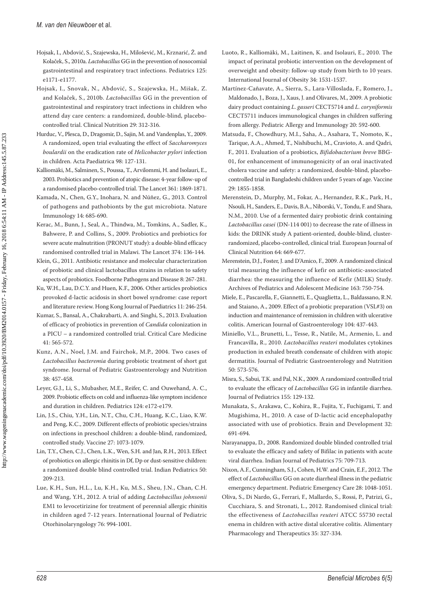- Hojsak, I., Abdović, S., Szajewska, H., Milošević, M., Krznarić, Ž. and Kolaček, S., 2010a. *Lactobacillus* GG in the prevention of nosocomial gastrointestinal and respiratory tract infections. Pediatrics 125: e1171-e1177.
- Hojsak, I., Snovak, N., Abdović, S., Szajewska, H., Mišak, Z. and Kolaček, S., 2010b. *Lactobacillus* GG in the prevention of gastrointestinal and respiratory tract infections in children who attend day care centers: a randomized, double-blind, placebocontrolled trial. Clinical Nutrition 29: 312-316.
- Hurduc, V., Plesca, D., Dragomir, D., Sajin, M. and Vandenplas, Y., 2009. A randomized, open trial evaluating the effect of *Saccharomyces boulardii* on the eradication rate of *Helicobacter pylori* infection in children. Acta Paediatrica 98: 127-131.
- Kalliomäki, M., Salminen, S., Poussa, T., Arvilommi, H. and Isolauri, E., 2003. Probiotics and prevention of atopic disease: 4-year follow-up of a randomised placebo-controlled trial. The Lancet 361: 1869-1871.
- Kamada, N., Chen, G.Y., Inohara, N. and Núñez, G., 2013. Control of pathogens and pathobionts by the gut microbiota. Nature Immunology 14: 685-690.
- Kerac, M., Bunn, J., Seal, A., Thindwa, M., Tomkins, A., Sadler, K., Bahwere, P. and Collins, S., 2009. Probiotics and prebiotics for severe acute malnutrition (PRONUT study): a double-blind efficacy randomised controlled trial in Malawi. The Lancet 374: 136-144.
- Klein, G., 2011. Antibiotic resistance and molecular characterization of probiotic and clinical lactobacillus strains in relation to safety aspects of probiotics. Foodborne Pathogens and Disease 8: 267-281.
- Ku, W.H., Lau, D.C.Y. and Huen, K.F., 2006. Other articles probiotics provoked d-lactic acidosis in short bowel syndrome: case report and literature review. Hong Kong Journal of Paediatrics 11: 246-254.
- Kumar, S., Bansal, A., Chakrabarti, A. and Singhi, S., 2013. Evaluation of efficacy of probiotics in prevention of *Candida* colonization in a PICU – a randomized controlled trial. Critical Care Medicine 41: 565-572.
- Kunz, A.N., Noel, J.M. and Fairchok, M.P., 2004. Two cases of *Lactobacillus bacteremia* during probiotic treatment of short gut syndrome. Journal of Pediatric Gastroenterology and Nutrition 38: 457-458.
- Leyer, G.J., Li, S., Mubasher, M.E., Reifer, C. and Ouwehand, A. C., 2009. Probiotic effects on cold and influenza-like symptom incidence and duration in children. Pediatrics 124: e172-e179.
- Lin, J.S., Chiu, Y.H., Lin, N.T., Chu, C.H., Huang, K.C., Liao, K.W. and Peng, K.C., 2009. Different effects of probiotic species/strains on infections in preschool children: a double-blind, randomized, controlled study. Vaccine 27: 1073-1079.
- Lin, T.Y., Chen, C.J., Chen, L.K., Wen, S.H. and Jan, R.H., 2013. Effect of probiotics on allergic rhinitis in Df, Dp or dust-sensitive children: a randomized double blind controlled trial. Indian Pediatrics 50: 209-213.
- Lue, K.H., Sun, H.L., Lu, K.H., Ku, M.S., Sheu, J.N., Chan, C.H. and Wang, Y.H., 2012. A trial of adding *Lactobacillus johnsonii*  EM1 to levocetirizine for treatment of perennial allergic rhinitis in children aged 7-12 years. International Journal of Pediatric Otorhinolaryngology 76: 994-1001.
- Luoto, R., Kalliomäki, M., Laitinen, K. and Isolauri, E., 2010. The impact of perinatal probiotic intervention on the development of overweight and obesity: follow-up study from birth to 10 years. International Journal of Obesity 34: 1531-1537.
- Martínez-Cañavate, A., Sierra, S., Lara-Villoslada, F., Romero, J., Maldonado, J., Boza, J., Xaus, J. and Olivares, M., 2009. A probiotic dairy product containing *L. gasseri* CECT5714 and *L. coryniformis* CECT5711 induces immunological changes in children suffering from allergy. Pediatric Allergy and Immunology 20: 592-600.
- Matsuda, F., Chowdhury, M.I., Saha, A., Asahara, T., Nomoto, K., Tarique, A.A., Ahmed, T., Nishibuchi, M., Cravioto, A. and Qadri, F., 2011. Evaluation of a probiotics, *Bifidobacterium breve* BBG-01, for enhancement of immunogenicity of an oral inactivated cholera vaccine and safety: a randomized, double-blind, placebocontrolled trial in Bangladeshi children under 5 years of age. Vaccine 29: 1855-1858.
- Merenstein, D., Murphy, M., Fokar, A., Hernandez, R.K., Park, H., Nsouli, H., Sanders, E., Davis, B.A., Niborski, V., Tondu, F. and Shara, N.M., 2010. Use of a fermented dairy probiotic drink containing *Lactobacillus casei* (DN-114 001) to decrease the rate of illness in kids: the DRINK study A patient-oriented, double-blind, clusterrandomized, placebo-controlled, clinical trial. European Journal of Clinical Nutrition 64: 669-677.
- Merenstein, D.J., Foster, J. and D'Amico, F., 2009. A randomized clinical trial measuring the influence of kefir on antibiotic-associated diarrhea: the measuring the influence of Kefir (MILK) Study. Archives of Pediatrics and Adolescent Medicine 163: 750-754.
- Miele, E., Pascarella, F., Giannetti, E., Quaglietta, L., Baldassano, R.N. and Staiano, A., 2009. Effect of a probiotic preparation (VSL#3) on induction and maintenance of remission in children with ulcerative colitis. American Journal of Gastroenterology 104: 437-443.
- Miniello, V.L., Brunetti, L., Tesse, R., Natile, M., Armenio, L. and Francavilla, R., 2010. *Lactobacillus reuteri* modulates cytokines production in exhaled breath condensate of children with atopic dermatitis. Journal of Pediatric Gastroenterology and Nutrition 50: 573-576.
- Misra, S., Sabui, T.K. and Pal, N.K., 2009. A randomized controlled trial to evaluate the efficacy of *Lactobacillus* GG in infantile diarrhea. Journal of Pediatrics 155: 129-132.
- Munakata, S., Arakawa, C., Kohira, R., Fujita, Y., Fuchigami, T. and Mugishima, H., 2010. A case of D-lactic acid encephalopathy associated with use of probiotics. Brain and Development 32: 691-694.
- Narayanappa, D., 2008. Randomized double blinded controlled trial to evaluate the efficacy and safety of Bifilac in patients with acute viral diarrhea. Indian Journal of Pediatrics 75: 709-713.
- Nixon, A.F., Cunningham, S.J., Cohen, H.W. and Crain, E.F., 2012. The effect of *Lactobacillus* GG on acute diarrheal illness in the pediatric emergency department. Pediatric Emergency Care 28: 1048-1051.
- Oliva, S., Di Nardo, G., Ferrari, F., Mallardo, S., Rossi, P., Patrizi, G., Cucchiara, S. and Stronati, L., 2012. Randomised clinical trial: the effectiveness of *Lactobacillus reuteri* ATCC 55730 rectal enema in children with active distal ulcerative colitis. Alimentary Pharmacology and Therapeutics 35: 327-334.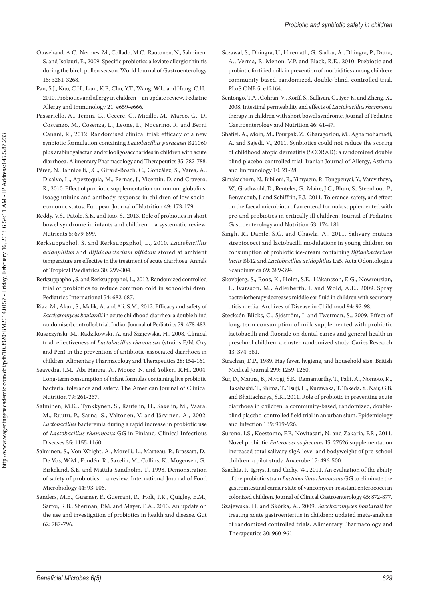- Ouwehand, A.C., Nermes, M., Collado, M.C., Rautonen, N., Salminen, S. and Isolauri, E., 2009. Specific probiotics alleviate allergic rhinitis during the birch pollen season. World Journal of Gastroenterology 15: 3261-3268.
- Pan, S.J., Kuo, C.H., Lam, K.P., Chu, Y.T., Wang, W.L. and Hung, C.H., 2010. Probiotics and allergy in children – an update review. Pediatric Allergy and Immunology 21: e659-e666.
- Passariello, A., Terrin, G., Cecere, G., Micillo, M., Marco, G., Di Costanzo, M., Cosenza, L., Leone, L., Nocerino, R. and Berni Canani, R., 2012. Randomised clinical trial: efficacy of a new synbiotic formulation containing *Lactobacillus paracasei* B21060 plus arabinogalactan and xilooligosaccharides in children with acute diarrhoea. Alimentary Pharmacology and Therapeutics 35: 782-788.
- Pérez, N., Iannicelli, J.C., Girard-Bosch, C., González, S., Varea, A., Disalvo, L., Apeztequia, M., Pernas, J., Vicentin, D. and Cravero, R., 2010. Effect of probiotic supplementation on immunoglobulins, isoagglutinins and antibody response in children of low socioeconomic status. European Journal of Nutrition 49: 173-179.
- Reddy, V.S., Patole, S.K. and Rao, S., 2013. Role of probiotics in short bowel syndrome in infants and children – a systematic review. Nutrients 5: 679-699.
- Rerksuppaphol, S. and Rerksuppaphol, L., 2010*. Lactobacillus acidophilus* and *Bifidobacterium bifidum* stored at ambient temperature are effective in the treatment of acute diarrhoea. Annals of Tropical Paediatrics 30: 299-304.
- Rerksuppaphol, S. and Rerksuppaphol, L., 2012. Randomized controlled trial of probiotics to reduce common cold in schoolchildren. Pediatrics International 54: 682-687.
- Riaz, M., Alam, S., Malik, A. and Ali, S.M., 2012. Efficacy and safety of *Saccharomyces boulardii* in acute childhood diarrhea: a double blind randomised controlled trial. Indian Journal of Pediatrics 79: 478-482.
- Ruszczyński, M., Radzikowski, A. and Szajewska, H., 2008. Clinical trial: effectiveness of *Lactobacillus rhamnosus* (strains E/N, Oxy and Pen) in the prevention of antibiotic-associated diarrhoea in children. Alimentary Pharmacology and Therapeutics 28: 154-161.
- Saavedra, J.M., Abi-Hanna, A., Moore, N. and Yolken, R.H., 2004. Long-term consumption of infant formulas containing live probiotic bacteria: tolerance and safety. The American Journal of Clinical Nutrition 79: 261-267.
- Salminen, M.K., Tynkkynen, S., Rautelin, H., Saxelin, M., Vaara, M., Ruutu, P., Sarna, S., Valtonen, V. and Järvinen, A., 2002. *Lactobacillus* bacteremia during a rapid increase in probiotic use of *Lactobacillus rhamnosus* GG in Finland. Clinical Infectious Diseases 35: 1155-1160.
- Salminen, S., Von Wright, A., Morelli, L., Marteau, P., Brassart, D., De Vos, W.M., Fondén, R., Saxelin, M., Collins, K., Mogensen, G., Birkeland, S.E. and Mattila-Sandholm, T., 1998. Demonstration of safety of probiotics – a review. International Journal of Food Microbiology 44: 93-106.
- Sanders, M.E., Guarner, F., Guerrant, R., Holt, P.R., Quigley, E.M., Sartor, R.B., Sherman, P.M. and Mayer, E.A., 2013. An update on the use and investigation of probiotics in health and disease. Gut 62: 787-796.
- Sazawal, S., Dhingra, U., Hiremath, G., Sarkar, A., Dhingra, P., Dutta, A., Verma, P., Menon, V.P. and Black, R.E., 2010. Prebiotic and probiotic fortified milk in prevention of morbidities among children: community-based, randomized, double-blind, controlled trial. PLoS ONE 5: e12164.
- Sentongo, T.A., Cohran, V., Korff, S., Sullivan, C., Iyer, K. and Zheng, X., 2008. Intestinal permeability and effects of *Lactobacillus rhamnosus* therapy in children with short bowel syndrome. Journal of Pediatric Gastroenterology and Nutrition 46: 41-47.
- Shafiei, A., Moin, M., Pourpak, Z., Gharagozlou, M., Aghamohamadi, A. and Sajedi, V., 2011. Synbiotics could not reduce the scoring of childhood atopic dermatitis (SCORAD): a randomized double blind placebo-controlled trial. Iranian Journal of Allergy, Asthma and Immunology 10: 21-28.
- Simakachorn, N., Bibiloni, R., Yimyaem, P., Tongpenyai, Y., Varavithaya, W., Grathwohl, D., Reuteler, G., Maire, J.C., Blum, S., Steenhout, P., Benyacoub, J. and Schiffrin, E.J., 2011. Tolerance, safety, and effect on the faecal microbiota of an enteral formula supplemented with pre-and probiotics in critically ill children. Journal of Pediatric Gastroenterology and Nutrition 53: 174-181.
- Singh, R., Damle, S.G. and Chawla, A., 2011. Salivary mutans streptococci and lactobacilli modulations in young children on consumption of probiotic ice-cream containing *Bifidobacterium lactis* Bb12 and *Lactobacillus acidophilus* La5. Acta Odontologica Scandinavica 69: 389-394.
- Skovbjerg, S., Roos, K., Holm, S.E., Håkansson, E.G., Nowrouzian, F., Ivarsson, M., Adlerberth, I. and Wold, A.E., 2009. Spray bacteriotherapy decreases middle ear fluid in children with secretory otitis media. Archives of Disease in Childhood 94: 92-98.
- Stecksén-Blicks, C., Sjöström, I. and Twetman, S., 2009. Effect of long-term consumption of milk supplemented with probiotic lactobacilli and fluoride on dental caries and general health in preschool children: a cluster-randomized study. Caries Research 43: 374-381.
- Strachan, D.P., 1989. Hay fever, hygiene, and household size. British Medical Journal 299: 1259-1260.
- Sur, D., Manna, B., Niyogi, S.K., Ramamurthy, T., Palit, A., Nomoto, K., Takahashi, T., Shima, T., Tsuji, H., Kurawaka, T. Takeda, Y., Nair, G.B. and Bhattacharya, S.K., 2011. Role of probiotic in preventing acute diarrhoea in children: a community-based, randomized, doubleblind placebo-controlled field trial in an urban slum. Epidemiology and Infection 139: 919-926.
- Surono, I.S., Koestomo, F.P., Novitasari, N. and Zakaria, F.R., 2011. Novel probiotic *Enterococcus faecium* IS-27526 supplementation increased total salivary sIgA level and bodyweight of pre-school children: a pilot study. Anaerobe 17: 496-500.
- Szachta, P., Ignys, I. and Cichy, W., 2011. An evaluation of the ability of the probiotic strain *Lactobacillus rhamnosus* GG to eliminate the gastrointestinal carrier state of vancomycin-resistant enterococci in colonized children. Journal of Clinical Gastroenterology 45: 872-877.
- Szajewska, H. and Skórka, A., 2009. *Saccharomyces boulardii* for treating acute gastroenteritis in children: updated meta-analysis of randomized controlled trials. Alimentary Pharmacology and Therapeutics 30: 960-961.